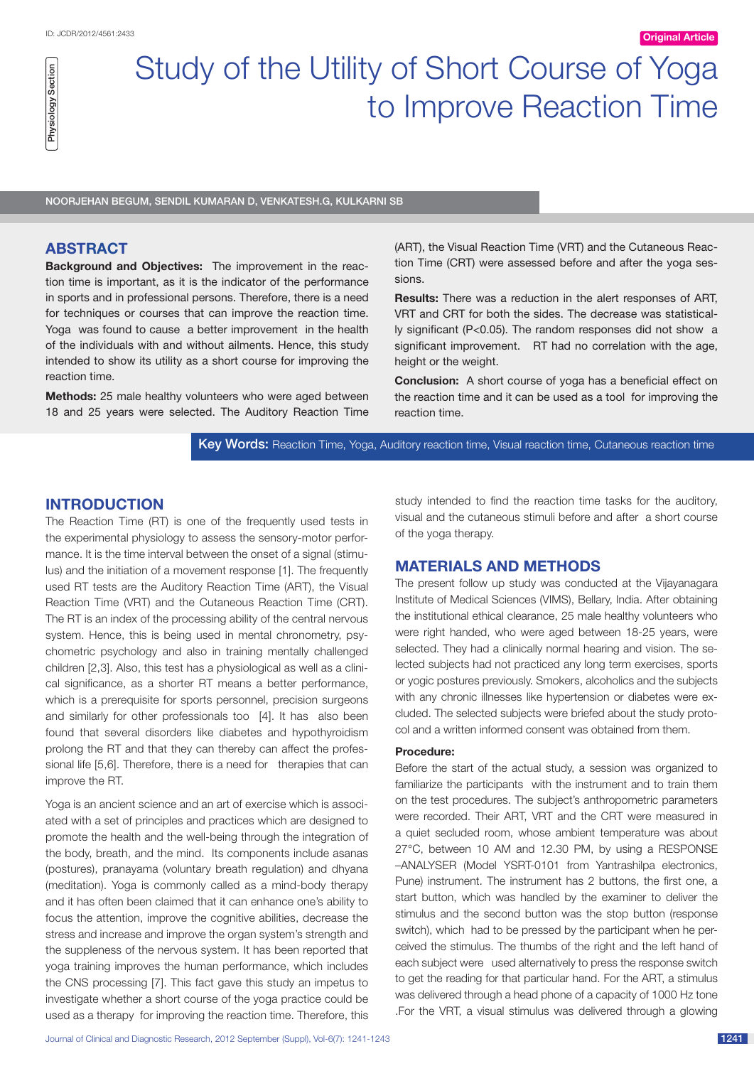Physiology Section

**Physiology Section** 

# Study of the Utility of Short Course of Yoga to Improve Reaction Time

Noorjehan begum, Sendil kumaran D, Venkatesh.G, Kulkarni SB

## **ABSTRACT**

**Background and Objectives:** The improvement in the reaction time is important, as it is the indicator of the performance in sports and in professional persons. Therefore, there is a need for techniques or courses that can improve the reaction time. Yoga was found to cause a better improvement in the health of the individuals with and without ailments. Hence, this study intended to show its utility as a short course for improving the reaction time.

**Methods:** 25 male healthy volunteers who were aged between 18 and 25 years were selected. The Auditory Reaction Time (ART), the Visual Reaction Time (VRT) and the Cutaneous Reaction Time (CRT) were assessed before and after the yoga sessions.

**Results:** There was a reduction in the alert responses of ART, VRT and CRT for both the sides. The decrease was statistically significant (P<0.05). The random responses did not show a significant improvement. RT had no correlation with the age, height or the weight.

**Conclusion:** A short course of yoga has a beneficial effect on the reaction time and it can be used as a tool for improving the reaction time.

Key Words: Reaction Time, Yoga, Auditory reaction time, Visual reaction time, Cutaneous reaction time

# **Introduction**

The Reaction Time (RT) is one of the frequently used tests in the experimental physiology to assess the sensory-motor performance. It is the time interval between the onset of a signal (stimulus) and the initiation of a movement response [1]. The frequently used RT tests are the Auditory Reaction Time (ART), the Visual Reaction Time (VRT) and the Cutaneous Reaction Time (CRT). The RT is an index of the processing ability of the central nervous system. Hence, this is being used in mental chronometry, psychometric psychology and also in training mentally challenged children [2,3]. Also, this test has a physiological as well as a clinical significance, as a shorter RT means a better performance, which is a prerequisite for sports personnel, precision surgeons and similarly for other professionals too [4]. It has also been found that several disorders like diabetes and hypothyroidism prolong the RT and that they can thereby can affect the professional life [5,6]. Therefore, there is a need for therapies that can improve the RT.

Yoga is an ancient science and an art of exercise which is associated with a set of principles and practices which are designed to promote the health and the well-being through the integration of the body, breath, and the mind. Its components include asanas (postures), pranayama (voluntary breath regulation) and dhyana (meditation). Yoga is commonly called as a mind-body therapy and it has often been claimed that it can enhance one's ability to focus the attention, improve the cognitive abilities, decrease the stress and increase and improve the organ system's strength and the suppleness of the nervous system. It has been reported that yoga training improves the human performance, which includes the CNS processing [7]. This fact gave this study an impetus to investigate whether a short course of the yoga practice could be used as a therapy for improving the reaction time. Therefore, this

study intended to find the reaction time tasks for the auditory, visual and the cutaneous stimuli before and after a short course of the yoga therapy.

# **MATERIALS AND METHODS**

The present follow up study was conducted at the Vijayanagara Institute of Medical Sciences (VIMS), Bellary, India. After obtaining the institutional ethical clearance, 25 male healthy volunteers who were right handed, who were aged between 18-25 years, were selected. They had a clinically normal hearing and vision. The selected subjects had not practiced any long term exercises, sports or yogic postures previously. Smokers, alcoholics and the subjects with any chronic illnesses like hypertension or diabetes were excluded. The selected subjects were briefed about the study protocol and a written informed consent was obtained from them.

### **Procedure:**

Before the start of the actual study, a session was organized to familiarize the participants with the instrument and to train them on the test procedures. The subject's anthropometric parameters were recorded. Their ART, VRT and the CRT were measured in a quiet secluded room, whose ambient temperature was about 27°C, between 10 AM and 12.30 PM, by using a RESPONSE –ANALYSER (Model YSRT-0101 from Yantrashilpa electronics, Pune) instrument. The instrument has 2 buttons, the first one, a start button, which was handled by the examiner to deliver the stimulus and the second button was the stop button (response switch), which had to be pressed by the participant when he perceived the stimulus. The thumbs of the right and the left hand of each subject were used alternatively to press the response switch to get the reading for that particular hand. For the ART, a stimulus was delivered through a head phone of a capacity of 1000 Hz tone .For the VRT, a visual stimulus was delivered through a glowing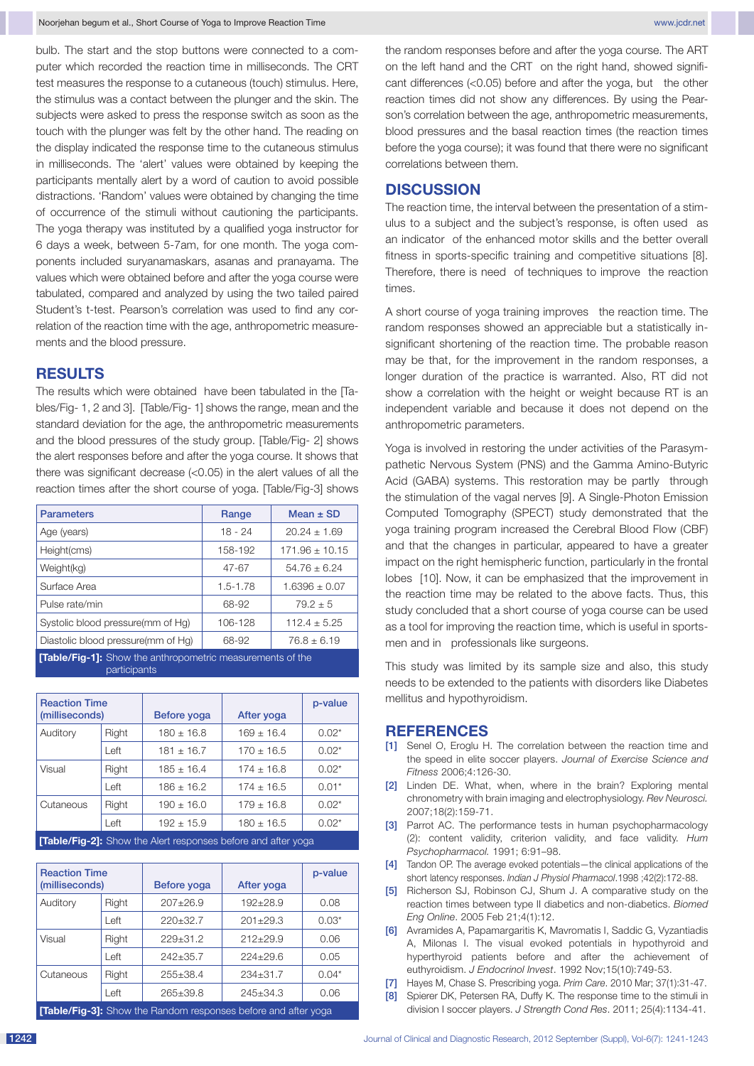bulb. The start and the stop buttons were connected to a computer which recorded the reaction time in milliseconds. The CRT test measures the response to a cutaneous (touch) stimulus. Here, the stimulus was a contact between the plunger and the skin. The subjects were asked to press the response switch as soon as the touch with the plunger was felt by the other hand. The reading on the display indicated the response time to the cutaneous stimulus in milliseconds. The 'alert' values were obtained by keeping the participants mentally alert by a word of caution to avoid possible distractions. 'Random' values were obtained by changing the time of occurrence of the stimuli without cautioning the participants. The yoga therapy was instituted by a qualified yoga instructor for 6 days a week, between 5-7am, for one month. The yoga components included suryanamaskars, asanas and pranayama. The values which were obtained before and after the yoga course were tabulated, compared and analyzed by using the two tailed paired Student's t-test. Pearson's correlation was used to find any correlation of the reaction time with the age, anthropometric measurements and the blood pressure.

## **RESULTS**

The results which were obtained have been tabulated in the [Tables/Fig- 1, 2 and 3]. [Table/Fig- 1] shows the range, mean and the standard deviation for the age, the anthropometric measurements and the blood pressures of the study group. [Table/Fig- 2] shows the alert responses before and after the yoga course. It shows that there was significant decrease (<0.05) in the alert values of all the reaction times after the short course of yoga. [Table/Fig-3] shows

| <b>Parameters</b>                                                          | Range        | Mean $\pm$ SD      |  |  |  |
|----------------------------------------------------------------------------|--------------|--------------------|--|--|--|
| Age (years)                                                                | $18 - 24$    | $20.24 \pm 1.69$   |  |  |  |
| Height(cms)                                                                | 158-192      | $171.96 \pm 10.15$ |  |  |  |
| Weight(kg)                                                                 | 47-67        | $54.76 \pm 6.24$   |  |  |  |
| Surface Area                                                               | $1.5 - 1.78$ | $1.6396 \pm 0.07$  |  |  |  |
| Pulse rate/min                                                             | 68-92        | $79.2 + 5$         |  |  |  |
| Systolic blood pressure(mm of Hg)                                          | 106-128      | $112.4 + 5.25$     |  |  |  |
| Diastolic blood pressure(mm of Hg)                                         | 68-92        | $76.8 \pm 6.19$    |  |  |  |
| [Table/Fig-1]: Show the anthropometric measurements of the<br>participants |              |                    |  |  |  |

| <b>Reaction Time</b><br>(milliseconds)                               |       | Before yoga    | After yoga     | p-value |  |
|----------------------------------------------------------------------|-------|----------------|----------------|---------|--|
| Auditory                                                             | Right | $180 + 16.8$   | $169 + 16.4$   | $0.02*$ |  |
|                                                                      | Left  | $181 \pm 16.7$ | $170 \pm 16.5$ | $0.02*$ |  |
| Visual                                                               | Right | $185 \pm 16.4$ | $174 \pm 16.8$ | $0.02*$ |  |
|                                                                      | Left  | $186 + 16.2$   | $174 \pm 16.5$ | $0.01*$ |  |
| Cutaneous                                                            | Right | $190 \pm 16.0$ | $179 + 16.8$   | $0.02*$ |  |
|                                                                      | Left  | $192 + 15.9$   | $180 \pm 16.5$ | $0.02*$ |  |
| <b>ITable/Eig-01:</b> Show the Alert responses before and after yoga |       |                |                |         |  |

**[Table/Fig-2]:** Show the Alert responses before and after yoga

| <b>Reaction Time</b><br>(milliseconds)                               |       | Before yoga    | After yoga     | p-value |  |
|----------------------------------------------------------------------|-------|----------------|----------------|---------|--|
| Auditory                                                             | Right | $207 + 26.9$   | $192 + 28.9$   | 0.08    |  |
|                                                                      | Left  | $220 \pm 32.7$ | $201 + 29.3$   | $0.03*$ |  |
| Visual                                                               | Right | $229 + 31.2$   | $212+29.9$     | 0.06    |  |
|                                                                      | Left  | $242 + 35.7$   | $224 + 29.6$   | 0.05    |  |
| Cutaneous                                                            | Right | $255 + 38.4$   | $234 + 31.7$   | $0.04*$ |  |
|                                                                      | Left  | $265 + 39.8$   | $245 \pm 34.3$ | 0.06    |  |
| <b>Table/Fig-31:</b> Show the Random responses before and after yoga |       |                |                |         |  |

the random responses before and after the yoga course. The ART on the left hand and the CRT on the right hand, showed significant differences (<0.05) before and after the yoga, but the other reaction times did not show any differences. By using the Pearson's correlation between the age, anthropometric measurements, blood pressures and the basal reaction times (the reaction times before the yoga course); it was found that there were no significant correlations between them.

# **Discussion**

The reaction time, the interval between the presentation of a stimulus to a subject and the subject's response, is often used as an indicator of the enhanced motor skills and the better overall fitness in sports-specific training and competitive situations [8]. Therefore, there is need of techniques to improve the reaction times.

A short course of yoga training improves the reaction time. The random responses showed an appreciable but a statistically insignificant shortening of the reaction time. The probable reason may be that, for the improvement in the random responses, a longer duration of the practice is warranted. Also, RT did not show a correlation with the height or weight because RT is an independent variable and because it does not depend on the anthropometric parameters.

Yoga is involved in restoring the under activities of the Parasympathetic Nervous System (PNS) and the Gamma Amino-Butyric Acid (GABA) systems. This restoration may be partly through the stimulation of the vagal nerves [9]. A Single-Photon Emission Computed Tomography (SPECT) study demonstrated that the yoga training program increased the Cerebral Blood Flow (CBF) and that the changes in particular, appeared to have a greater impact on the right hemispheric function, particularly in the frontal lobes [10]. Now, it can be emphasized that the improvement in the reaction time may be related to the above facts. Thus, this study concluded that a short course of yoga course can be used as a tool for improving the reaction time, which is useful in sportsmen and in professionals like surgeons.

This study was limited by its sample size and also, this study needs to be extended to the patients with disorders like Diabetes mellitus and hypothyroidism.

#### **References**

- [1] Senel O, Eroglu H. The correlation between the reaction time and the speed in elite soccer players. *Journal of Exercise Science and Fitness* 2006;4:126-30.
- [2] Linden DE. What, when, where in the brain? Exploring mental chronometry with brain imaging and electrophysiology. *Rev Neurosci.*  2007;18(2):159-71.
- [3] Parrot AC. The performance tests in human psychopharmacology (2): content validity, criterion validity, and face validity. *Hum Psychopharmacol.* 1991; 6:91–98.
- [4] Tandon OP. The average evoked potentials—the clinical applications of the short latency responses. *Indian J Physiol Pharmacol*.1998 ;42(2):172-88.
- [5] Richerson SJ, Robinson CJ, Shum J. A comparative study on the reaction times between type II diabetics and non-diabetics. *Biomed Eng Online*. 2005 Feb 21;4(1):12.
- [6] Avramides A, Papamargaritis K, Mavromatis I, Saddic G, Vyzantiadis A, Milonas I. The visual evoked potentials in hypothyroid and hyperthyroid patients before and after the achievement of euthyroidism. *J Endocrinol Invest*. 1992 Nov;15(10):749-53.
- [7] Hayes M, Chase S. Prescribing yoga. *Prim Care*. 2010 Mar; 37(1):31-47.
- [8] Spierer DK, Petersen RA, Duffy K. The response time to the stimuli in division I soccer players. *J Strength Cond Res*. 2011; 25(4):1134-41.